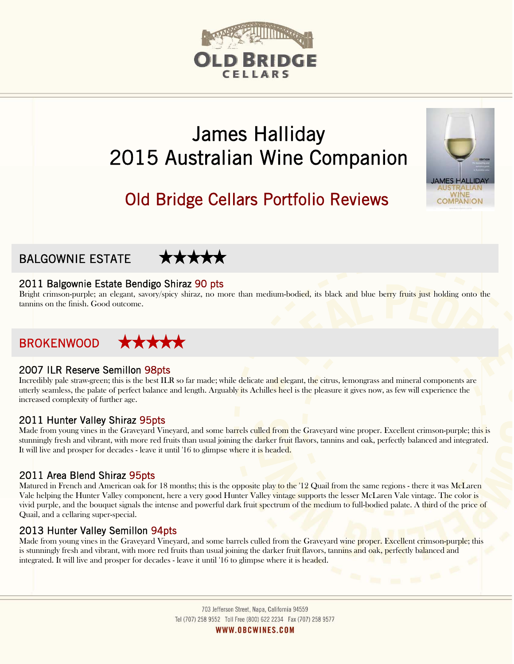# D BRIDGE

# James Halliday 2015 Australian Wine Companion



**MES HALLID** 





# 2011 Balgownie Estate Bendigo Shiraz 90 pts

Bright crimson-purple; an elegant, savory/spicy shiraz, no more than medium-bodied, its black and blue berry fruits just holding onto the tannins on the finish. Good outcome.

# BROKENWOOD

#### 2007 ILR Reserve Semillon 98pts

Incredibly pale straw-green; this is the best ILR so far made; while delicate and elegant, the citrus, lemongrass and mineral components are utterly seamless, the palate of perfect balance and length. Arguably its Achilles heel is the pleasure it gives now, as few will experience the increased complexity of further age.

# 2011 Hunter Valley Shiraz 95pts

Made from young vines in the Graveyard Vineyard, and some barrels culled from the Graveyard wine proper. Excellent crimson-purple; this is stunningly fresh and vibrant, with more red fruits than usual joining the darker fruit flavors, tannins and oak, perfectly balanced and integrated. It will live and prosper for decades - leave it until '16 to glimpse where it is headed.

# 2011 Area Blend Shiraz 95pts

Matured in French and American oak for 18 months; this is the opposite play to the '12 Quail from the same regions - there it was McLaren Vale helping the Hunter Valley component, here a very good Hunter Valley vintage supports the lesser McLaren Vale vintage. The color is vivid purple, and the bouquet signals the intense and powerful dark fruit spectrum of the medium to full-bodied palate. A third of the price of Quail, and a cellaring super-special.

# 2013 Hunter Valley Semillon 94pts

Made from young vines in the Graveyard Vineyard, and some barrels culled from the Graveyard wine proper. Excellent crimson-purple; this is stunningly fresh and vibrant, with more red fruits than usual joining the darker fruit flavors, tannins and oak, perfectly balanced and integrated. It will live and prosper for decades - leave it until '16 to glimpse where it is headed.

> 703 Jefferson Street, Napa, California 94559 Tel (707) 258 9552 Toll Free (800) 622 2234 Fax (707) 258 9577 WWW.OBCWINES.COM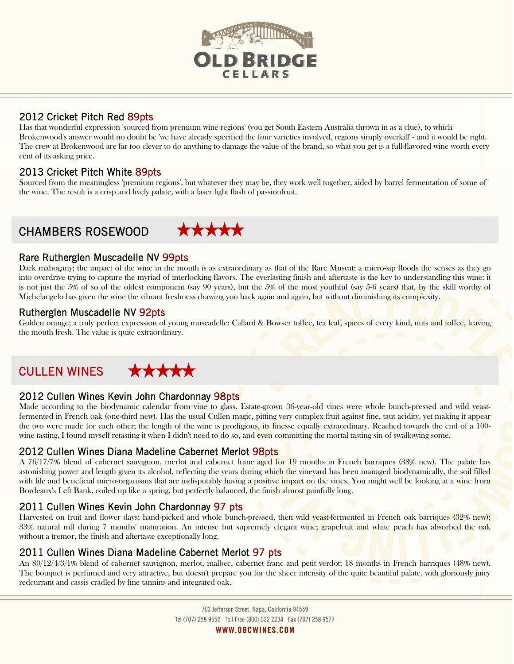

# 2012 Cricket Pitch Red 89pts

Has that wonderful expression 'sourced from premium wine regions' (you get South Eastern Australia thrown in as a clue), to which Brokenwood's answer would no doubt be 'we have already specified the four varieties involved, regions simply overkill' - and it would be right. The crew at Brokenwood are far too clever to do anything to damage the value of the brand, so what you get is a full-flavored wine worth every cent of its asking price.

# 2013 Cricket Pitch White 89pts

Sourced from the meaningless 'premium regions', but whatever they may be, they work well together, aided by barrel fermentation of some of the wine. The result is a crisp and lively palate, with a laser light flash of passionfruit.

# CHAMBERS ROSEWOOD



# Rare Rutherglen Muscadelle NV 99pts

Dark mahogany; the impact of the wine in the mouth is as extraordinary as that of the Rare Muscat; a micro-sip floods the senses as they go into overdrive trying to capture the myriad of interlocking flavors. The everlasting finish and aftertaste is the key to understanding this wine: it is not just the 5% of so of the oldest component (say 90 years), but the 5% of the most youthful (say 5-6 years) that, by the skill worthy of Michelangelo has given the wine the vibrant freshness drawing you back again and again, but without diminishing its complexity.

# Rutherglen Muscadelle NV 92pts

Golden orange; a truly perfect expression of young muscadelle: Callard & Bowser toffee, tea leaf, spices of every kind, nuts and toffee, leaving the mouth fresh. The value is quite extraordinary.

# CULLEN WINES



# 2012 Cullen Wines Kevin John Chardonnay 98pts

Made according to the biodynamic calendar from vine to glass. Estate-grown 36-year-old vines were whole bunch-pressed and wild yeastfermented in French oak (one-third new). Has the usual Cullen magic, pitting very complex fruit against fine, taut acidity, yet making it appear the two were made for each other; the length of the wine is prodigious, its finesse equally extraordinary. Reached towards the end of a 100wine tasting, I found myself retasting it when I didn't need to do so, and even committing the mortal tasting sin of swallowing some.

# 2012 Cullen Wines Diana Madeline Cabernet Merlot 98pts

A 76/17/7% blend of cabernet sauvignon, merlot and cabernet franc aged for 19 months in French barriques (38% new). The palate has astonishing power and length given its alcohol, reflecting the years during which the vineyard has been managed biodynamically, the soil filled with life and beneficial micro-organisms that are indisputably having a positive impact on the vines. You might well be looking at a wine from Bordeaux's Left Bank, coiled up like a spring, but perfectly balanced, the finish almost painfully long.

# 2011 Cullen Wines Kevin John Chardonnay 97 pts

Harvested on fruit and flower days; hand-picked and whole bunch-pressed, then wild yeast-fermented in French oak barriques (32% new); 33% natural mlf during 7 months' maturation. An intense but supremely elegant wine; grapefruit and white peach has absorbed the oak without a tremor, the finish and aftertaste exceptionally long.

# 2011 Cullen Wines Diana Madeline Cabernet Merlot 97 pts

An 80/12/4/3/1% blend of cabernet sauvignon, merlot, malbec, cabernet franc and petit verdot; 18 months in French barriques (48% new). The bouquet is perfumed and very attractive, but doesn't prepare you for the sheer intensity of the quite beautiful palate, with gloriously juicy redcurrant and cassis cradled by fine tannins and integrated oak.

> 703 Jefferson Street, Napa, California 94559 Tel (707) 258 9552 Toll Free (800) 622 2234 Fax (707) 258 9577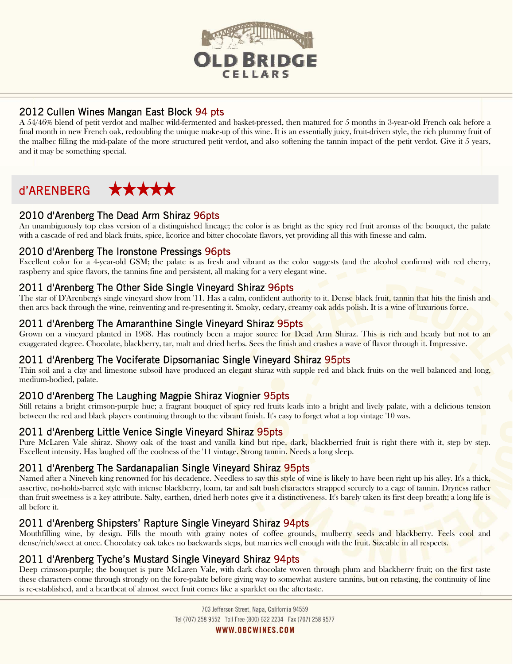

# 2012 Cullen Wines Mangan East Block 94 pts

A 54/46% blend of petit verdot and malbec wild-fermented and basket-pressed, then matured for 5 months in 3-year-old French oak before a final month in new French oak, redoubling the unique make-up of this wine. It is an essentially juicy, fruit-driven style, the rich plummy fruit of the malbec filling the mid-palate of the more structured petit verdot, and also softening the tannin impact of the petit verdot. Give it 5 years, and it may be something special.

#### d'ARENBERG \*\*\*\*\*

# 2010 d'Arenberg The Dead Arm Shiraz 96pts

An unambiguously top class version of a distinguished lineage; the color is as bright as the spicy red fruit aromas of the bouquet, the palate with a cascade of red and black fruits, spice, licorice and bitter chocolate flavors, yet providing all this with finesse and calm.

#### 2010 d'Arenberg The Ironstone Pressings 96pts

Excellent color for a 4-year-old GSM; the palate is as fresh and vibrant as the color suggests (and the alcohol confirms) with red cherry, raspberry and spice flavors, the tannins fine and persistent, all making for a very elegant wine.

#### 2011 d'Arenberg The Other Side Single Vineyard Shiraz 96pts

The star of D'Arenberg's single vineyard show from '11. Has a calm, confident authority to it. Dense black fruit, tannin that hits the finish and then arcs back through the wine, reinventing and re-presenting it. Smoky, cedary, creamy oak adds polish. It is a wine of luxurious force.

# 2011 d'Arenberg The Amaranthine Single Vineyard Shiraz 95pts

Grown on a vineyard planted in 1968. Has routinely been a major source for Dead Arm Shiraz. This is rich and heady but not to an exaggerated degree. Chocolate, blackberry, tar, malt and dried herbs. Sees the finish and crashes a wave of flavor through it. Impressive.

#### 2011 d'Arenberg The Vociferate Dipsomaniac Single Vineyard Shiraz 95pts

Thin soil and a clay and limestone subsoil have produced an elegant shiraz with supple red and black fruits on the well balanced and long, medium-bodied, palate.

# 2010 d'Arenberg The Laughing Magpie Shiraz Viognier 95pts

Still retains a bright crimson-purple hue; a fragrant bouquet of spicy red fruits leads into a bright and lively palate, with a delicious tension between the red and black players continuing through to the vibrant finish. It's easy to forget what a top vintage '10 was.

# 2011 d'Arenberg Little Venice Single Vineyard Shiraz 95pts

Pure McLaren Vale shiraz. Showy oak of the toast and vanilla kind but ripe, dark, blackberried fruit is right there with it, step by step. Excellent intensity. Has laughed off the coolness of the '11 vintage. Strong tannin. Needs a long sleep.

#### 2011 d'Arenberg The Sardanapalian Single Vineyard Shiraz 95pts

Named after a Nineveh king renowned for his decadence. Needless to say this style of wine is likely to have been right up his alley. It's a thick, assertive, no-holds-barred style with intense blackberry, loam, tar and salt bush characters strapped securely to a cage of tannin. Dryness rather than fruit sweetness is a key attribute. Salty, earthen, dried herb notes give it a distinctiveness. It's barely taken its first deep breath; a long life is all before it.

# 2011 d'Arenberg Shipsters' Rapture Single Vineyard Shiraz 94 pts

Mouthfilling wine, by design. Fills the mouth with grainy notes of coffee grounds, mulberry seeds and blackberry. Feels cool and dense/rich/sweet at once. Chocolatey oak takes no backwards steps, but marries well enough with the fruit. Sizeable in all respects.

# 2011 d'Arenberg Tyche's Mustard Single Vineyard Shiraz 94pts

Deep crimson-purple; the bouquet is pure McLaren Vale, with dark chocolate woven through plum and blackberry fruit; on the first taste these characters come through strongly on the fore-palate before giving way to somewhat austere tannins, but on retasting, the continuity of line is re-established, and a heartbeat of almost sweet fruit comes like a sparklet on the aftertaste.

> 703 Jefferson Street, Napa, California 94559 Tel (707) 258 9552 Toll Free (800) 622 2234 Fax (707) 258 9577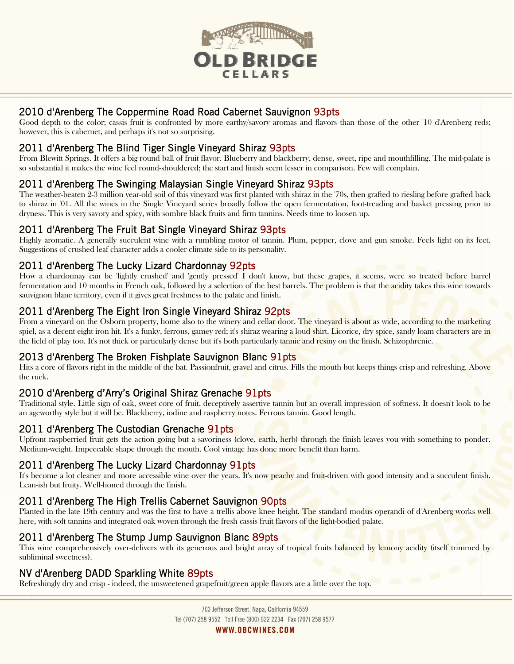

# 2010 d'Arenberg The Coppermine Road Road Cabernet Sauvignon 93pts

Good depth to the color; cassis fruit is confronted by more earthy/savory aromas and flavors than those of the other '10 d'Arenberg reds; however, this is cabernet, and perhaps it's not so surprising.

# 2011 d'Arenberg The Blind Tiger Single Vineyard Shiraz 93pts

From Blewitt Springs. It offers a big round ball of fruit flavor. Blueberry and blackberry, dense, sweet, ripe and mouthfilling. The mid-palate is so substantial it makes the wine feel round-shouldered; the start and finish seem lesser in comparison. Few will complain.

# 2011 d'Arenberg The Swinging Malaysian Single Vineyard Shiraz 93pts

The weather-beaten 2-3 million year-old soil of this vineyard was first planted with shiraz in the '70s, then grafted to riesling before grafted back to shiraz in '01. All the wines in the Single Vineyard series broadly follow the open fermentation, foot-treading and basket pressing prior to dryness. This is very savory and spicy, with sombre black fruits and firm tannins. Needs time to loosen up.

#### 2011 d'Arenberg The Fruit Bat Single Vineyard Shiraz 93pts

Highly aromatic. A generally succulent wine with a rumbling motor of tannin. Plum, pepper, clove and gun smoke. Feels light on its feet. Suggestions of crushed leaf character adds a cooler climate side to its personality.

#### 2011 d'Arenberg The Lucky Lizard Chardonnay 92pts

How a chardonnay can be 'lightly crushed' and 'gently pressed' I don't know, but these grapes, it seems, were so treated before barrel fermentation and 10 months in French oak, followed by a selection of the best barrels. The problem is that the acidity takes this wine towards sauvignon blanc territory, even if it gives great freshness to the palate and finish.

# 2011 d'Arenberg The Eight Iron Single Vineyard Shiraz 92pts

From a vineyard on the Osborn property, home also to the winery and cellar door. The vineyard is about as wide, according to the marketing spiel, as a decent eight iron hit. It's a funky, ferrous, gamey red; it's shiraz wearing a loud shirt. Licorice, dry spice, sandy loam characters are in the field of play too. It's not thick or particularly dense but it's both particularly tannic and resiny on the finish. Schizophrenic.

#### 2013 d'Arenberg The Broken Fishplate Sauvignon Blanc 91pts

Hits a core of flavors right in the middle of the bat. Passionfruit, gravel and citrus. Fills the mouth but keeps things crisp and refreshing. Above the ruck.

# 2010 d'Arenberg d'Arry's Original Shiraz Grenache 91pts

Traditional style. Little sign of oak, sweet core of fruit, deceptively assertive tannin but an overall impression of softness. It doesn't look to be an ageworthy style but it will be. Blackberry, iodine and raspberry notes. Ferrous tannin. Good length.

#### 2011 d'Arenberg The Custodian Grenache 91pts

Upfront raspberried fruit gets the action going but a savoriness (clove, earth, herb) through the finish leaves you with something to ponder. Medium-weight. Impeccable shape through the mouth. Cool vintage has done more benefit than harm.

#### 2011 d'Arenberg The Lucky Lizard Chardonnay 91pts

It's become a lot cleaner and more accessible wine over the years. It's now peachy and fruit-driven with good intensity and a succulent finish. Lean-ish but fruity. Well-honed through the finish.

# 2011 d'Arenberg The High Trellis Cabernet Sauvignon 90pts

Planted in the late 19th century and was the first to have a trellis above knee height. The standard modus operandi of d'Arenberg works well here, with soft tannins and integrated oak woven through the fresh cassis fruit flavors of the light-bodied palate.

#### 2011 d'Arenberg The Stump Jump Sauvignon Blanc 89pts

This wine comprehensively over-delivers with its generous and bright array of tropical fruits balanced by lemony acidity (itself trimmed by subliminal sweetness).

# NV d'Arenberg DADD Sparkling White 89pts

Refreshingly dry and crisp - indeed, the unsweetened grapefruit/green apple flavors are a little over the top.

703 Jefferson Street, Napa, California 94559 Tel (707) 258 9552 Toll Free (800) 622 2234 Fax (707) 258 9577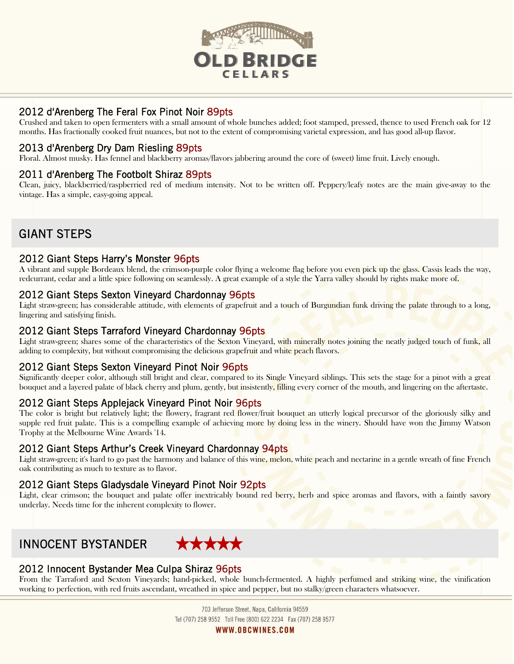

# 2012 d'Arenberg The Feral Fox Pinot Noir 89pts

Crushed and taken to open fermenters with a small amount of whole bunches added; foot stamped, pressed, thence to used French oak for 12 months. Has fractionally cooked fruit nuances, but not to the extent of compromising varietal expression, and has good all-up flavor.

# 2013 d'Arenberg Dry Dam Riesling 89pts

Floral. Almost musky. Has fennel and blackberry aromas/flavors jabbering around the core of (sweet) lime fruit. Lively enough.

#### 2011 d'Arenberg The Footbolt Shiraz 89pts

Clean, juicy, blackberried/raspberried red of medium intensity. Not to be written off. Peppery/leafy notes are the main give-away to the vintage. Has a simple, easy-going appeal.

# GIANT STEPS

#### 2012 Giant Steps Harry's Monster 96pts

A vibrant and supple Bordeaux blend, the crimson-purple color flying a welcome flag before you even pick up the glass. Cassis leads the way, redcurrant, cedar and a little spice following on seamlessly. A great example of a style the Yarra valley should by rights make more of.

#### 2012 Giant Steps Sexton Vineyard Chardonnay 96pts

Light straw-green; has considerable attitude, with elements of grapefruit and a touch of Burgundian funk driving the palate through to a long, lingering and satisfying finish.

#### 2012 Giant Steps Tarraford Vineyard Chardonnay 96pts

Light straw-green; shares some of the characteristics of the Sexton Vineyard, with minerally notes joining the neatly judged touch of funk, all adding to complexity, but without compromising the delicious grapefruit and white peach flavors.

# 2012 Giant Steps Sexton Vineyard Pinot Noir 96pts

Significantly deeper color, although still bright and clear, compared to its Single Vineyard siblings. This sets the stage for a pinot with a great bouquet and a layered palate of black cherry and plum, gently, but insistently, filling every corner of the mouth, and lingering on the aftertaste.

#### 2012 Giant Steps Applejack Vineyard Pinot Noir 96pts

The color is bright but relatively light; the flowery, fragrant red flower/fruit bouquet an utterly logical precursor of the gloriously silky and supple red fruit palate. This is a compelling example of achieving more by doing less in the winery. Should have won the Jimmy Watson Trophy at the Melbourne Wine Awards '14.

#### 2012 Giant Steps Arthur's Creek Vineyard Chardonnay 94pts

Light straw-green; it's hard to go past the harmony and balance of this wine, melon, white peach and nectarine in a gentle wreath of fine French oak contributing as much to texture as to flavor.

#### 2012 Giant Steps Gladysdale Vineyard Pinot Noir 92pts

Light, clear crimson; the bouquet and palate offer inextricably bound red berry, herb and spice aromas and flavors, with a faintly savory underlay. Needs time for the inherent complexity to flower.

# INNOCENT BYSTANDER



# 2012 Innocent Bystander Mea Culpa Shiraz 96pts

From the Tarraford and Sexton Vineyards; hand-picked, whole bunch-fermented. A highly perfumed and striking wine, the vinification working to perfection, with red fruits ascendant, wreathed in spice and pepper, but no stalky/green characters whatsoever.

> 703 Jefferson Street, Napa, California 94559 Tel (707) 258 9552 Toll Free (800) 622 2234 Fax (707) 258 9577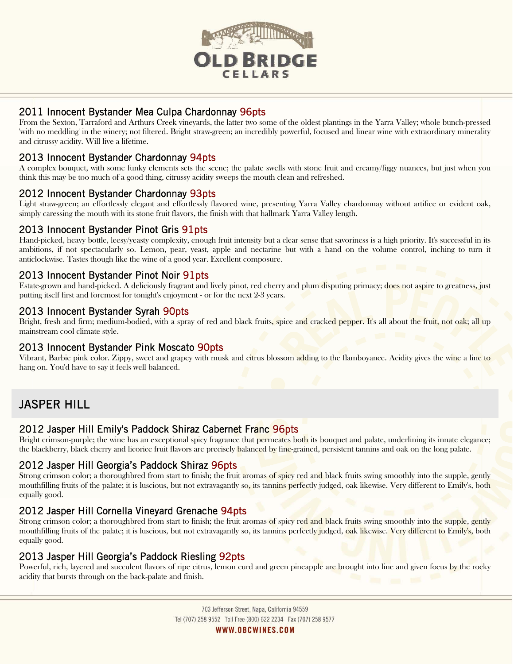

# 2011 Innocent Bystander Mea Culpa Chardonnay 96pts

From the Sexton, Tarraford and Arthurs Creek vineyards, the latter two some of the oldest plantings in the Yarra Valley; whole bunch-pressed 'with no meddling' in the winery; not filtered. Bright straw-green; an incredibly powerful, focused and linear wine with extraordinary minerality and citrussy acidity. Will live a lifetime.

# 2013 Innocent Bystander Chardonnay 94pts

A complex bouquet, with some funky elements sets the scene; the palate swells with stone fruit and creamy/figgy nuances, but just when you think this may be too much of a good thing, citrussy acidity sweeps the mouth clean and refreshed.

# 2012 Innocent Bystander Chardonnay 93pts

Light straw-green; an effortlessly elegant and effortlessly flavored wine, presenting Yarra Valley chardonnay without artifice or evident oak, simply caressing the mouth with its stone fruit flavors, the finish with that hallmark Yarra Valley length.

# 2013 Innocent Bystander Pinot Gris 91pts

Hand-picked, heavy bottle, leesy/yeasty complexity, enough fruit intensity but a clear sense that savoriness is a high priority. It's successful in its ambitions, if not spectacularly so. Lemon, pear, yeast, apple and nectarine but with a hand on the volume control, inching to turn it anticlockwise. Tastes though like the wine of a good year. Excellent composure.

# 2013 Innocent Bystander Pinot Noir 91pts

Estate-grown and hand-picked. A deliciously fragrant and lively pinot, red cherry and plum disputing primacy; does not aspire to greatness, just putting itself first and foremost for tonight's enjoyment - or for the next 2-3 years.

# 2013 Innocent Bystander Syrah 90pts

Bright, fresh and firm; medium-bodied, with a spray of red and black fruits, spice and cracked pepper. It's all about the fruit, not oak; all up mainstream cool climate style.

# 2013 Innocent Bystander Pink Moscato 90pts

Vibrant, Barbie pink color. Zippy, sweet and grapey with musk and citrus blossom adding to the flamboyance. Acidity gives the wine a line to hang on. You'd have to say it feels well balanced.

# JASPER HILL

# 2012 Jasper Hill Emily's Paddock Shiraz Cabernet Franc 96pts

Bright crimson-purple; the wine has an exceptional spicy fragrance that permeates both its bouquet and palate, underlining its innate elegance; the blackberry, black cherry and licorice fruit flavors are precisely balanced by fine-grained, persistent tannins and oak on the long palate.

# 2012 Jasper Hill Georgia's Paddock Shiraz 96pts

Strong crimson color; a thoroughbred from start to finish; the fruit aromas of spicy red and black fruits swing smoothly into the supple, gently mouthfilling fruits of the palate; it is luscious, but not extravagantly so, its tanning perfectly judged, oak likewise. Very different to Emily's, both equally good.

# 2012 Jasper Hill Cornella Vineyard Grenache 94pts

Strong crimson color; a thoroughbred from start to finish; the fruit aromas of spicy red and black fruits swing smoothly into the supple, gently mouthfilling fruits of the palate; it is luscious, but not extravagantly so, its tannins perfectly judged, oak likewise. Very different to Emily's, both equally good.

# 2013 Jasper Hill Georgia's Paddock Riesling 92pts

Powerful, rich, layered and succulent flavors of ripe citrus, lemon curd and green pineapple are brought into line and given focus by the rocky acidity that bursts through on the back-palate and finish.

> 703 Jefferson Street, Napa, California 94559 Tel (707) 258 9552 Toll Free (800) 622 2234 Fax (707) 258 9577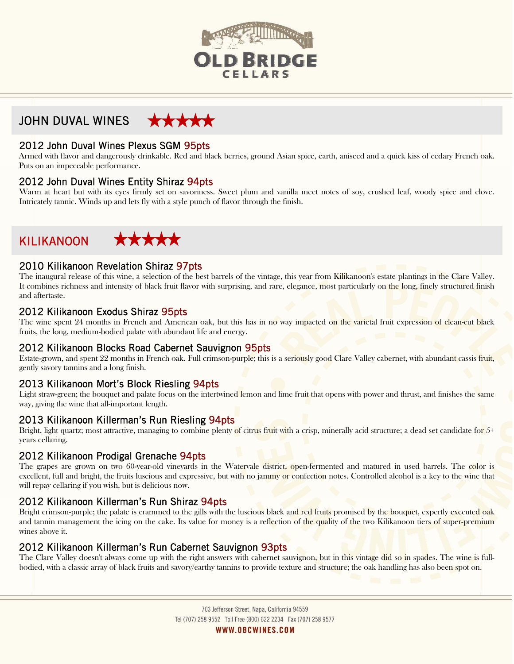

#### JOHN DUVAL WINES \*\*\*\*\*

# 2012 John Duval Wines Plexus SGM 95pts

Armed with flavor and dangerously drinkable. Red and black berries, ground Asian spice, earth, aniseed and a quick kiss of cedary French oak. Puts on an impeccable performance.

#### 2012 John Duval Wines Entity Shiraz 94pts

Warm at heart but with its eyes firmly set on savoriness. Sweet plum and vanilla meet notes of soy, crushed leaf, woody spice and clove. Intricately tannic. Winds up and lets fly with a style punch of flavor through the finish.

# KILIKANOON

 $\overline{a}$ 



# 2010 Kilikanoon Revelation Shiraz 97pts

The inaugural release of this wine, a selection of the best barrels of the vintage, this year from Kilikanoon's estate plantings in the Clare Valley. It combines richness and intensity of black fruit flavor with surprising, and rare, elegance, most particularly on the long, finely structured finish and aftertaste.

# 2012 Kilikanoon Exodus Shiraz 95pts

The wine spent 24 months in French and American oak, but this has in no way impacted on the varietal fruit expression of clean-cut black fruits, the long, medium-bodied palate with abundant life and energy.

#### 2012 Kilikanoon Blocks Road Cabernet Sauvignon 95pts

Estate-grown, and spent 22 months in French oak. Full crimson-purple; this is a seriously good Clare Valley cabernet, with abundant cassis fruit, gently savory tannins and a long finish.

# 2013 Kilikanoon Mort's Block Riesling 94pts

Light straw-green; the bouquet and palate focus on the intertwined lemon and lime fruit that opens with power and thrust, and finishes the same way, giving the wine that all-important length.

# 2013 Kilikanoon Killerman's Run Riesling 94pts

Bright, light quartz; most attractive, managing to combine plenty of citrus fruit with a crisp, minerally acid structure; a dead set candidate for  $5+$ years cellaring.

#### 2012 Kilikanoon Prodigal Grenache 94pts

The grapes are grown on two 60-year-old vineyards in the Watervale district, open-fermented and matured in used barrels. The color is excellent, full and bright, the fruits luscious and expressive, but with no jammy or confection notes. Controlled alcohol is a key to the wine that will repay cellaring if you wish, but is delicious now.

# 2012 Kilikanoon Killerman's Run Shiraz 94pts

Bright crimson-purple; the palate is crammed to the gills with the luscious black and red fruits promised by the bouquet, expertly executed oak and tannin management the icing on the cake. Its value for money is a reflection of the quality of the two Kilikanoon tiers of super-premium wines above it.

#### 2012 Kilikanoon Killerman's Run Cabernet Sauvignon 93pts

The Clare Valley doesn't always come up with the right answers with cabernet sauvignon, but in this vintage did so in spades. The wine is fullbodied, with a classic array of black fruits and savory/earthy tannins to provide texture and structure; the oak handling has also been spot on.

> 703 Jefferson Street, Napa, California 94559 Tel (707) 258 9552 Toll Free (800) 622 2234 Fax (707) 258 9577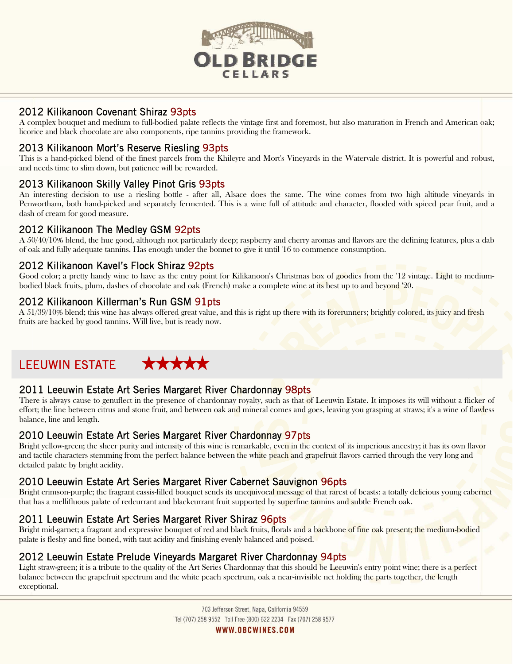

# 2012 Kilikanoon Covenant Shiraz 93pts

A complex bouquet and medium to full-bodied palate reflects the vintage first and foremost, but also maturation in French and American oak; licorice and black chocolate are also components, ripe tannins providing the framework.

# 2013 Kilikanoon Mort's Reserve Riesling 93pts

This is a hand-picked blend of the finest parcels from the Khileyre and Mort's Vineyards in the Watervale district. It is powerful and robust, and needs time to slim down, but patience will be rewarded.

# 2013 Kilikanoon Skilly Valley Pinot Gris 93pts

An interesting decision to use a riesling bottle - after all, Alsace does the same. The wine comes from two high altitude vineyards in Penwortham, both hand-picked and separately fermented. This is a wine full of attitude and character, flooded with spiced pear fruit, and a dash of cream for good measure.

# 2012 Kilikanoon The Medley GSM 92pts

A 50/40/10% blend, the hue good, although not particularly deep; raspberry and cherry aromas and flavors are the defining features, plus a dab of oak and fully adequate tannins. Has enough under the bonnet to give it until '16 to commence consumption.

# 2012 Kilikanoon Kavel's Flock Shiraz 92pts

Good color; a pretty handy wine to have as the entry point for Kilikanoon's Christmas box of goodies from the '12 vintage. Light to mediumbodied black fruits, plum, dashes of chocolate and oak (French) make a complete wine at its best up to and beyond '20.

#### 2012 Kilikanoon Killerman's Run GSM 91pts

A 51/39/10% blend; this wine has always offered great value, and this is right up there with its forerunners; brightly colored, its juicy and fresh fruits are backed by good tannins. Will live, but is ready now.

#### \*\*\*\*\* LEEUWIN ESTATE

# 2011 Leeuwin Estate Art Series Margaret River Chardonnay 98pts

There is always cause to genuflect in the presence of chardonnay royalty, such as that of Leeuwin Estate. It imposes its will without a flicker of effort; the line between citrus and stone fruit, and between oak and mineral comes and goes, leaving you grasping at straws; it's a wine of flawless balance, line and length.

# 2010 Leeuwin Estate Art Series Margaret River Chardonnay 97pts

Bright yellow-green; the sheer purity and intensity of this wine is remarkable, even in the context of its imperious ancestry; it has its own flavor and tactile characters stemming from the perfect balance between the white peach and grapefruit flavors carried through the very long and detailed palate by bright acidity.

# 2010 Leeuwin Estate Art Series Margaret River Cabernet Sauvignon 96pts

Bright crimson-purple; the fragrant cassis-filled bouquet sends its unequivocal message of that rarest of beasts: a totally delicious young cabernet that has a mellifluous palate of redcurrant and blackcurrant fruit supported by superfine tannins and subtle French oak.

# 2011 Leeuwin Estate Art Series Margaret River Shiraz 96pts

Bright mid-garnet; a fragrant and expressive bouquet of red and black fruits, florals and a backbone of fine oak present; the medium-bodied palate is fleshy and fine boned, with taut acidity and finishing evenly balanced and poised.

#### 2012 Leeuwin Estate Prelude Vineyards Margaret River Chardonnay 94pts

Light straw-green; it is a tribute to the quality of the Art Series Chardonnay that this should be Leeuwin's entry point wine; there is a perfect balance between the grapefruit spectrum and the white peach spectrum, oak a near-invisible net holding the parts together, the length exceptional.

> 703 Jefferson Street, Napa, California 94559 Tel (707) 258 9552 Toll Free (800) 622 2234 Fax (707) 258 9577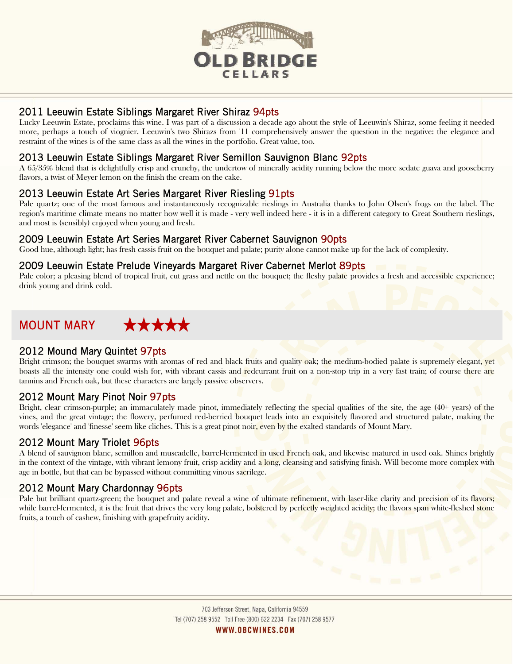

# 2011 Leeuwin Estate Siblings Margaret River Shiraz 94pts

Lucky Leeuwin Estate, proclaims this wine. I was part of a discussion a decade ago about the style of Leeuwin's Shiraz, some feeling it needed more, perhaps a touch of viognier. Leeuwin's two Shirazs from '11 comprehensively answer the question in the negative: the elegance and restraint of the wines is of the same class as all the wines in the portfolio. Great value, too.

### 2013 Leeuwin Estate Siblings Margaret River Semillon Sauvignon Blanc 92pts

A 65/35% blend that is delightfully crisp and crunchy, the undertow of minerally acidity running below the more sedate guava and gooseberry flavors, a twist of Meyer lemon on the finish the cream on the cake.

# 2013 Leeuwin Estate Art Series Margaret River Riesling 91pts

Pale quartz; one of the most famous and instantaneously recognizable rieslings in Australia thanks to John Olsen's frogs on the label. The region's maritime climate means no matter how well it is made - very well indeed here - it is in a different category to Great Southern rieslings, and most is (sensibly) enjoyed when young and fresh.

#### 2009 Leeuwin Estate Art Series Margaret River Cabernet Sauvignon 90pts

Good hue, although light; has fresh cassis fruit on the bouquet and palate; purity alone cannot make up for the lack of complexity.

#### 2009 Leeuwin Estate Prelude Vineyards Margaret River Cabernet Merlot 89pts

Pale color; a pleasing blend of tropical fruit, cut grass and nettle on the bouquet; the fleshy palate provides a fresh and accessible experience; drink young and drink cold.

# MOUNT MARY

#### 2012 Mound Mary Quintet 97pts

Bright crimson; the bouquet swarms with aromas of red and black fruits and quality oak; the medium-bodied palate is supremely elegant, yet boasts all the intensity one could wish for, with vibrant cassis and redcurrant fruit on a non-stop trip in a very fast train; of course there are tannins and French oak, but these characters are largely passive observers.

#### 2012 Mount Mary Pinot Noir 97pts

Bright, clear crimson-purple; an immaculately made pinot, immediately reflecting the special qualities of the site, the age (40+ years) of the vines, and the great vintage; the flowery, perfumed red-berried bouquet leads into an exquisitely flavored and structured palate, making the words 'elegance' and 'finesse' seem like cliches. This is a great pinot noir, even by the exalted standards of Mount Mary.

#### 2012 Mount Mary Triolet 96pts

A blend of sauvignon blanc, semillon and muscadelle, barrel-fermented in used French oak, and likewise matured in used oak. Shines brightly in the context of the vintage, with vibrant lemony fruit, crisp acidity and a long, cleansing and satisfying finish. Will become more complex with age in bottle, but that can be bypassed without committing vinous sacrilege.

# 2012 Mount Mary Chardonnay 96pts

Pale but brilliant quartz-green; the bouquet and palate reveal a wine of ultimate refinement, with laser-like clarity and precision of its flavors; while barrel-fermented, it is the fruit that drives the very long palate, bolstered by perfectly weighted acidity; the flavors span white-fleshed stone fruits, a touch of cashew, finishing with grapefruity acidity.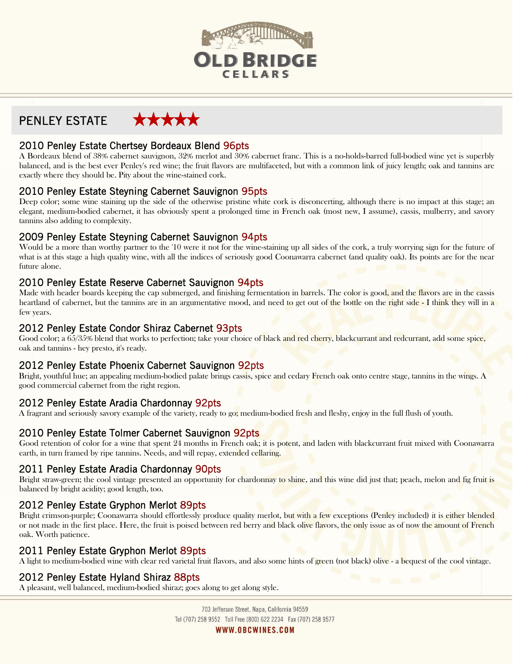

#### \*\*\*\*\* PENLEY ESTATE

# 2010 Penley Estate Chertsey Bordeaux Blend 96pts

A Bordeaux blend of 38% cabernet sauvignon, 32% merlot and 30% cabernet franc. This is a no-holds-barred full-bodied wine yet is superbly balanced, and is the best ever Penley's red wine; the fruit flavors are multifaceted, but with a common link of juicy length; oak and tannins are exactly where they should be. Pity about the wine-stained cork.

# 2010 Penley Estate Steyning Cabernet Sauvignon 95pts

Deep color; some wine staining up the side of the otherwise pristine white cork is disconcerting, although there is no impact at this stage; an elegant, medium-bodied cabernet, it has obviously spent a prolonged time in French oak (most new, I assume), cassis, mulberry, and savory tannins also adding to complexity.

# 2009 Penley Estate Steyning Cabernet Sauvignon 94pts

Would be a more than worthy partner to the '10 were it not for the wine-staining up all sides of the cork, a truly worrying sign for the future of what is at this stage a high quality wine, with all the indices of seriously good Coonawarra cabernet (and quality oak). Its points are for the near future alone.

# 2010 Penley Estate Reserve Cabernet Sauvignon 94pts

Made with header boards keeping the cap submerged, and finishing fermentation in barrels. The color is good, and the flavors are in the cassis heartland of cabernet, but the tannins are in an argumentative mood, and need to get out of the bottle on the right side - I think they will in a few years.

# 2012 Penley Estate Condor Shiraz Cabernet 93pts

Good color; a 65/35% blend that works to perfection; take your choice of black and red cherry, blackcurrant and redcurrant, add some spice, oak and tannins - hey presto, it's ready.

# 2012 Penley Estate Phoenix Cabernet Sauvignon 92pts

Bright, youthful hue; an appealing medium-bodied palate brings cassis, spice and cedary French oak onto centre stage, tannins in the wings. A good commercial cabernet from the right region.

# 2012 Penley Estate Aradia Chardonnay 92pts

A fragrant and seriously savory example of the variety, ready to go; medium-bodied fresh and fleshy, enjoy in the full flush of youth.

# 2010 Penley Estate Tolmer Cabernet Sauvignon 92pts

Good retention of color for a wine that spent 24 months in French oak; it is potent, and laden with blackcurrant fruit mixed with Coonawarra earth, in turn framed by ripe tannins. Needs, and will repay, extended cellaring.

# 2011 Penley Estate Aradia Chardonnay 90pts

Bright straw-green; the cool vintage presented an opportunity for chardonnay to shine, and this wine did just that; peach, melon and fig fruit is balanced by bright acidity; good length, too.

# 2012 Penley Estate Gryphon Merlot 89pts

Bright crimson-purple; Coonawarra should effortlessly produce quality merlot, but with a few exceptions (Penley included) it is either blended or not made in the first place. Here, the fruit is poised between red berry and black olive flavors, the only issue as of now the amount of French oak. Worth patience.

# 2011 Penley Estate Gryphon Merlot 89pts

A light to medium-bodied wine with clear red varietal fruit flavors, and also some hints of green (not black) olive - a bequest of the cool vintage.

# 2012 Penley Estate Hyland Shiraz 88pts

A pleasant, well balanced, medium-bodied shiraz; goes along to get along style.

703 Jefferson Street, Napa, California 94559 Tel (707) 258 9552 Toll Free (800) 622 2234 Fax (707) 258 9577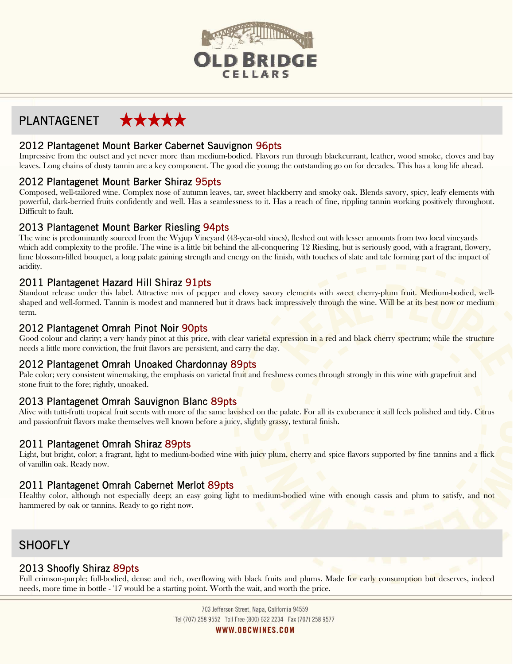

# PLANTAGENET

# 2012 Plantagenet Mount Barker Cabernet Sauvignon 96pts

Impressive from the outset and yet never more than medium-bodied. Flavors run through blackcurrant, leather, wood smoke, cloves and bay leaves. Long chains of dusty tannin are a key component. The good die young; the outstanding go on for decades. This has a long life ahead.

# 2012 Plantagenet Mount Barker Shiraz 95pts

Composed, well-tailored wine. Complex nose of autumn leaves, tar, sweet blackberry and smoky oak. Blends savory, spicy, leafy elements with powerful, dark-berried fruits confidently and well. Has a seamlessness to it. Has a reach of fine, rippling tannin working positively throughout. Difficult to fault.

# 2013 Plantagenet Mount Barker Riesling 94pts

The wine is predominantly sourced from the Wyjup Vineyard (43-year-old vines), fleshed out with lesser amounts from two local vineyards which add complexity to the profile. The wine is a little bit behind the all-conquering '12 Riesling, but is seriously good, with a fragrant, flowery, lime blossom-filled bouquet, a long palate gaining strength and energy on the finish, with touches of slate and talc forming part of the impact of acidity.

# 2011 Plantagenet Hazard Hill Shiraz 91pts

Standout release under this label. Attractive mix of pepper and clovey savory elements with sweet cherry-plum fruit. Medium-bodied, wellshaped and well-formed. Tannin is modest and mannered but it draws back impressively through the wine. Will be at its best now or medium term.

# 2012 Plantagenet Omrah Pinot Noir 90pts

Good colour and clarity; a very handy pinot at this price, with clear varietal expression in a red and black cherry spectrum; while the structure needs a little more conviction, the fruit flavors are persistent, and carry the day.

# 2012 Plantagenet Omrah Unoaked Chardonnay 89pts

Pale color; very consistent winemaking, the emphasis on varietal fruit and freshness comes through strongly in this wine with grapefruit and stone fruit to the fore; rightly, unoaked.

# 2013 Plantagenet Omrah Sauvignon Blanc 89pts

Alive with tutti-frutti tropical fruit scents with more of the same lavished on the palate. For all its exuberance it still feels polished and tidy. Citrus and passionfruit flavors make themselves well known before a juicy, slightly grassy, textural finish.

# 2011 Plantagenet Omrah Shiraz 89pts

Light, but bright, color; a fragrant, light to medium-bodied wine with juicy plum, cherry and spice flavors supported by fine tannins and a flick of vanillin oak. Ready now.

# 2011 Plantagenet Omrah Cabernet Merlot 89pts

Healthy color, although not especially deep; an easy going light to medium-bodied wine with enough cassis and plum to satisfy, and not hammered by oak or tannins. Ready to go right now.

# **SHOOFLY**

# 2013 Shoofly Shiraz 89pts

Full crimson-purple; full-bodied, dense and rich, overflowing with black fruits and plums. Made for early consumption but deserves, indeed needs, more time in bottle - '17 would be a starting point. Worth the wait, and worth the price.

> 703 Jefferson Street, Napa, California 94559 Tel (707) 258 9552 Toll Free (800) 622 2234 Fax (707) 258 9577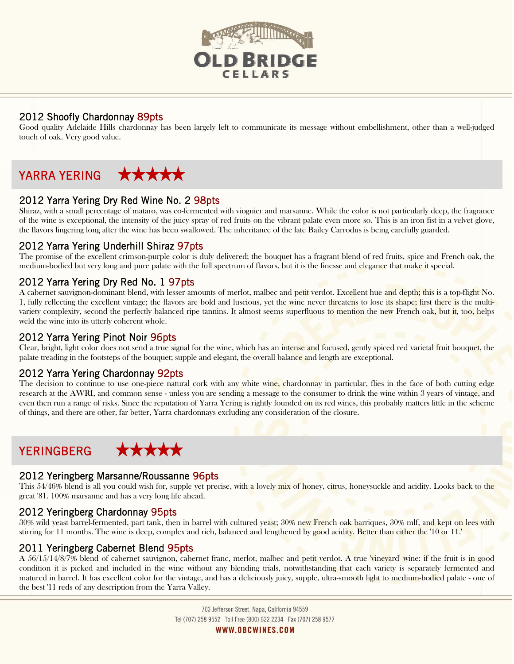

# 2012 Shoofly Chardonnay 89pts

Good quality Adelaide Hills chardonnay has been largely left to communicate its message without embellishment, other than a well-judged touch of oak. Very good value.

#### \*\*\*\*\* YARRA YERING

# 2012 Yarra Yering Dry Red Wine No. 2 98pts

Shiraz, with a small percentage of mataro, was co-fermented with viognier and marsanne. While the color is not particularly deep, the fragrance of the wine is exceptional, the intensity of the juicy spray of red fruits on the vibrant palate even more so. This is an iron fist in a velvet glove, the flavors lingering long after the wine has been swallowed. The inheritance of the late Bailey Carrodus is being carefully guarded.

# 2012 Yarra Yering Underhill Shiraz 97pts

The promise of the excellent crimson-purple color is duly delivered; the bouquet has a fragrant blend of red fruits, spice and French oak, the medium-bodied but very long and pure palate with the full spectrum of flavors, but it is the finesse and elegance that make it special.

# 2012 Yarra Yering Dry Red No. 1 97pts

A cabernet sauvignon-dominant blend, with lesser amounts of merlot, malbec and petit verdot. Excellent hue and depth; this is a top-flight No. 1, fully reflecting the excellent vintage; the flavors are bold and luscious, yet the wine never threatens to lose its shape; first there is the multivariety complexity, second the perfectly balanced ripe tannins. It almost seems superfluous to mention the new French oak, but it, too, helps weld the wine into its utterly coherent whole.

# 2012 Yarra Yering Pinot Noir 96pts

Clear, bright, light color does not send a true signal for the wine, which has an intense and focused, gently spiced red varietal fruit bouquet, the palate treading in the footsteps of the bouquet; supple and elegant, the overall balance and length are exceptional.

# 2012 Yarra Yering Chardonnay 92pts

The decision to continue to use one-piece natural cork with any white wine, chardonnay in particular, flies in the face of both cutting edge research at the AWRI, and common sense - unless you are sending a message to the consumer to drink the wine within 3 years of vintage, and even then run a range of risks. Since the reputation of Yarra Yering is rightly founded on its red wines, this probably matters little in the scheme of things, and there are other, far better, Yarra chardonnays excluding any consideration of the closure.

# YERINGBERG

#### 2012 Yeringberg Marsanne/Roussanne 96pts

This 54/46% blend is all you could wish for, supple yet precise, with a lovely mix of honey, citrus, honeysuckle and acidity. Looks back to the great '81. 100% marsanne and has a very long life ahead.

# 2012 Yeringberg Chardonnay 95pts

30% wild yeast barrel-fermented, part tank, then in barrel with cultured yeast; 30% new French oak barriques, 30% mlf, and kept on lees with stirring for 11 months. The wine is deep, complex and rich, balanced and lengthened by good acidity. Better than either the '10 or 11.'

# 2011 Yeringberg Cabernet Blend 95pts

A 56/15/14/8/7% blend of cabernet sauvignon, cabernet franc, merlot, malbec and petit verdot. A true 'vineyard' wine: if the fruit is in good condition it is picked and included in the wine without any blending trials, notwithstanding that each variety is separately fermented and matured in barrel. It has excellent color for the vintage, and has a deliciously juicy, supple, ultra-smooth light to medium-bodied palate - one of the best '11 reds of any description from the Yarra Valley.

> 703 Jefferson Street, Napa, California 94559 Tel (707) 258 9552 Toll Free (800) 622 2234 Fax (707) 258 9577